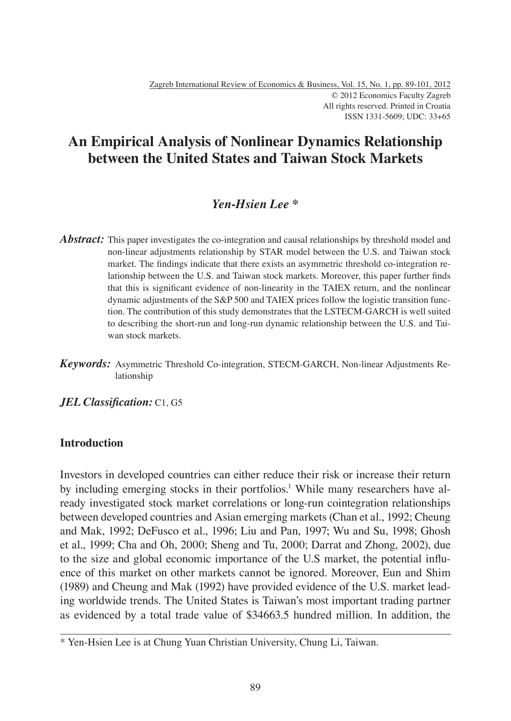# **An Empirical Analysis of Nonlinear Dynamics Relationship between the United States and Taiwan Stock Markets**

## *Yen-Hsien Lee \**

- *Abstract:* This paper investigates the co-integration and causal relationships by threshold model and non-linear adjustments relationship by STAR model between the U.S. and Taiwan stock market. The findings indicate that there exists an asymmetric threshold co-integration relationship between the U.S. and Taiwan stock markets. Moreover, this paper further finds that this is significant evidence of non-linearity in the TAIEX return, and the nonlinear dynamic adjustments of the S&P 500 and TAIEX prices follow the logistic transition function. The contribution of this study demonstrates that the LSTECM-GARCH is well suited to describing the short-run and long-run dynamic relationship between the U.S. and Taiwan stock markets.
- *Keywords:* Asymmetric Threshold Co-integration, STECM-GARCH, Non-linear Adjustments Relationship

*JEL Classification:* C1, G5

## **Introduction**

Investors in developed countries can either reduce their risk or increase their return by including emerging stocks in their portfolios.<sup>1</sup> While many researchers have already investigated stock market correlations or long-run cointegration relationships between developed countries and Asian emerging markets (Chan et al., 1992; Cheung and Mak, 1992; DeFusco et al., 1996; Liu and Pan, 1997; Wu and Su, 1998; Ghosh et al., 1999; Cha and Oh, 2000; Sheng and Tu, 2000; Darrat and Zhong, 2002), due to the size and global economic importance of the U.S market, the potential influence of this market on other markets cannot be ignored. Moreover, Eun and Shim (1989) and Cheung and Mak (1992) have provided evidence of the U.S. market leading worldwide trends. The United States is Taiwan's most important trading partner as evidenced by a total trade value of \$34663.5 hundred million. In addition, the

<sup>\*</sup> Yen-Hsien Lee is at Chung Yuan Christian University, Chung Li, Taiwan.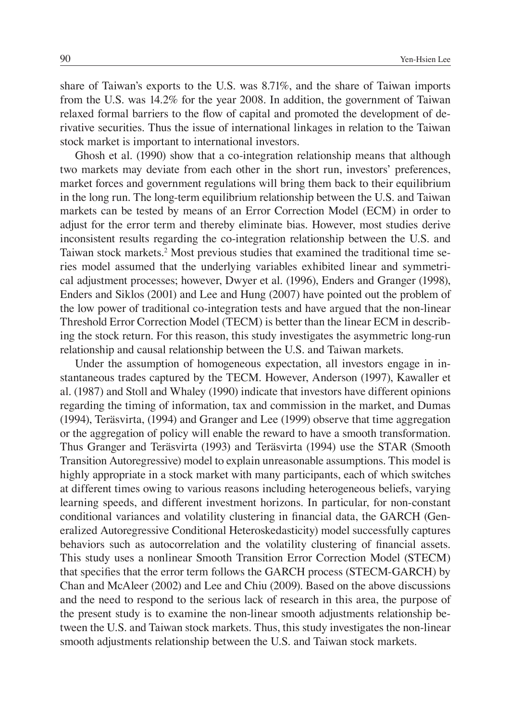share of Taiwan's exports to the U.S. was 8.71%, and the share of Taiwan imports from the U.S. was 14.2% for the year 2008. In addition, the government of Taiwan relaxed formal barriers to the flow of capital and promoted the development of derivative securities. Thus the issue of international linkages in relation to the Taiwan stock market is important to international investors.

Ghosh et al. (1990) show that a co-integration relationship means that although two markets may deviate from each other in the short run, investors' preferences, market forces and government regulations will bring them back to their equilibrium in the long run. The long-term equilibrium relationship between the U.S. and Taiwan markets can be tested by means of an Error Correction Model (ECM) in order to adjust for the error term and thereby eliminate bias. However, most studies derive inconsistent results regarding the co-integration relationship between the U.S. and Taiwan stock markets.<sup>2</sup> Most previous studies that examined the traditional time series model assumed that the underlying variables exhibited linear and symmetrical adjustment processes; however, Dwyer et al. (1996), Enders and Granger (1998), Enders and Siklos (2001) and Lee and Hung (2007) have pointed out the problem of the low power of traditional co-integration tests and have argued that the non-linear Threshold Error Correction Model (TECM) is better than the linear ECM in describing the stock return. For this reason, this study investigates the asymmetric long-run relationship and causal relationship between the U.S. and Taiwan markets.

Under the assumption of homogeneous expectation, all investors engage in instantaneous trades captured by the TECM. However, Anderson (1997), Kawaller et al. (1987) and Stoll and Whaley (1990) indicate that investors have different opinions regarding the timing of information, tax and commission in the market, and Dumas (1994), Teräsvirta, (1994) and Granger and Lee (1999) observe that time aggregation or the aggregation of policy will enable the reward to have a smooth transformation. Thus Granger and Teräsvirta (1993) and Teräsvirta (1994) use the STAR (Smooth Transition Autoregressive) model to explain unreasonable assumptions. This model is highly appropriate in a stock market with many participants, each of which switches at different times owing to various reasons including heterogeneous beliefs, varying learning speeds, and different investment horizons. In particular, for non-constant conditional variances and volatility clustering in financial data, the GARCH (Generalized Autoregressive Conditional Heteroskedasticity) model successfully captures behaviors such as autocorrelation and the volatility clustering of financial assets. This study uses a nonlinear Smooth Transition Error Correction Model (STECM) that specifies that the error term follows the GARCH process (STECM-GARCH) by Chan and McAleer (2002) and Lee and Chiu (2009). Based on the above discussions and the need to respond to the serious lack of research in this area, the purpose of the present study is to examine the non-linear smooth adjustments relationship between the U.S. and Taiwan stock markets. Thus, this study investigates the non-linear smooth adjustments relationship between the U.S. and Taiwan stock markets.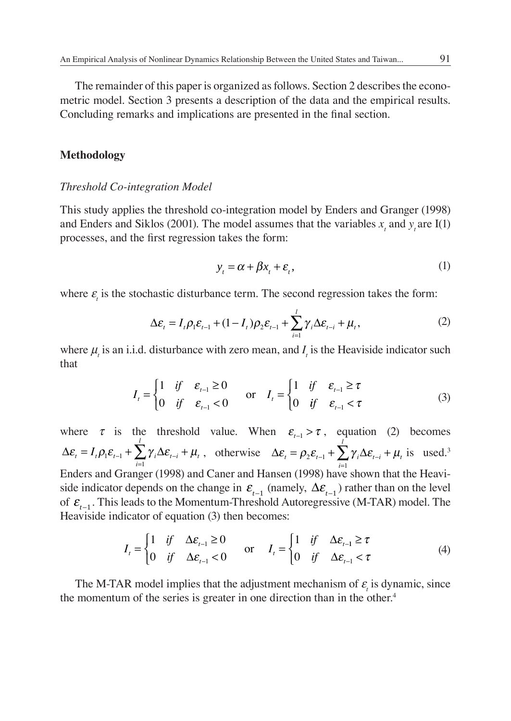The remainder of this paper is organized as follows. Section 2 describes the econometric model. Section 3 presents a description of the data and the empirical results. Concluding remarks and implications are presented in the final section.

#### **Methodology**

#### *Threshold Co-integration Model*

This study applies the threshold co-integration model by Enders and Granger (1998) and Enders and Siklos (2001). The model assumes that the variables  $x_t$  and  $y_t$  are I(1) processes, and the first regression takes the form:

$$
y_t = \alpha + \beta x_t + \varepsilon_t, \tag{1}
$$

where  $\varepsilon$ <sub>i</sub> is the stochastic disturbance term. The second regression takes the form:

$$
\Delta \varepsilon_t = I_t \rho_1 \varepsilon_{t-1} + (1 - I_t) \rho_2 \varepsilon_{t-1} + \sum_{i=1}^l \gamma_i \Delta \varepsilon_{t-i} + \mu_t,
$$
\n(2)

where  $\mu$ <sub>*t*</sub> is an i.i.d. disturbance with zero mean, and  $I$ <sub>*t*</sub> is the Heaviside indicator such that

$$
I_{t} = \begin{cases} 1 & \text{if } \varepsilon_{t-1} \ge 0 \\ 0 & \text{if } \varepsilon_{t-1} < 0 \end{cases} \quad \text{or} \quad I_{t} = \begin{cases} 1 & \text{if } \varepsilon_{t-1} \ge \tau \\ 0 & \text{if } \varepsilon_{t-1} < \tau \end{cases}
$$
 (3)

where  $\tau$  is the threshold value. When  $\varepsilon_{t-1} > \tau$ , equation (2) becomes  $\Delta \varepsilon_t = I_t \rho_1 \varepsilon_{t-1} + \sum_{i=1}^n \gamma_i \Delta \varepsilon_{t-i} + \mu_t$  $I = I_t \rho_1 \varepsilon_{t-1} + \sum_{i=1}^l \gamma_i \Delta \varepsilon_{t-i} + \mu_t$ , otherwise  $\Delta \varepsilon_t = \rho_2 \varepsilon_{t-1} + \sum_{i=1}^l \gamma_i \Delta \varepsilon_{t-i} + \mu_t$  $= \rho_2 \varepsilon_{t-1} + \sum_{i=1}^l \gamma_i \Delta \varepsilon_{t-i} +$ is used.<sup>3</sup> Enders and Granger (1998) and Caner and Hansen (1998) have shown that the Heaviside indicator depends on the change in  $\varepsilon$ <sub>*t*−1</sub> (namely,  $\Delta \varepsilon$ <sub>*t*−1</sub>) rather than on the level of  $\varepsilon$ <sub>t−1</sub>. This leads to the Momentum-Threshold Autoregressive (M-TAR) model. The Heaviside indicator of equation (3) then becomes:

$$
I_{t} = \begin{cases} 1 & \text{if } \Delta \varepsilon_{t-1} \ge 0 \\ 0 & \text{if } \Delta \varepsilon_{t-1} < 0 \end{cases} \quad \text{or} \quad I_{t} = \begin{cases} 1 & \text{if } \Delta \varepsilon_{t-1} \ge \tau \\ 0 & \text{if } \Delta \varepsilon_{t-1} < \tau \end{cases}
$$
(4)

The M-TAR model implies that the adjustment mechanism of  $\varepsilon$ <sub>i</sub> is dynamic, since the momentum of the series is greater in one direction than in the other.<sup>4</sup>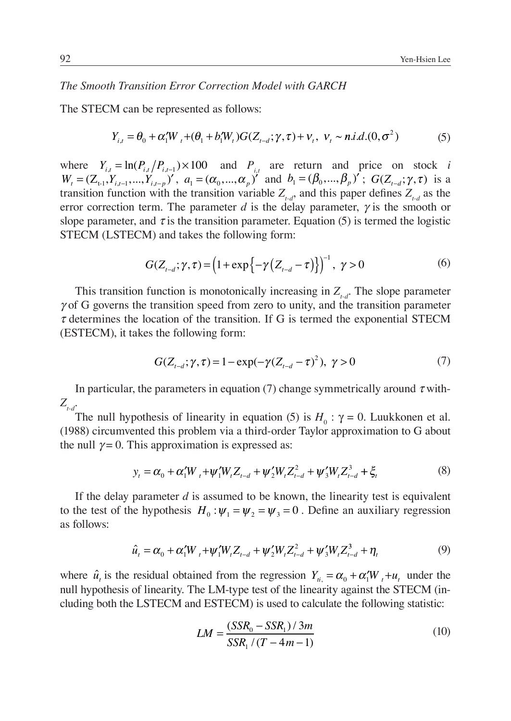### *The Smooth Transition Error Correction Model with GARCH*

The STECM can be represented as follows:

$$
Y_{i,t} = \theta_0 + \alpha_1' W_t + (\theta_1 + b_1' W_t) G(Z_{t-d}; \gamma, \tau) + V_t, \ \ v_t \sim n.i.d. (0, \sigma^2)
$$
 (5)

where  $Y_{i,t} = \ln(P_{i,t}/P_{i,t-1}) \times 100$  and  $P_{i,t}$  are return and price on stock *i*  $W_{t} = (Z_{t}^{j}, Y_{t}^{j}, \ldots, Y_{t}^{j}, Y_{t}^{j}, a_{t} = (\alpha_{0}, \ldots, \alpha_{n})^{j}$  and  $b_{1}^{j} = (\beta_{0}, \ldots, \beta_{n})^{j}$ ;  $G(Z_{t-d}^{j}; \gamma, \tau)$  is a transition function with the transition variable  $Z_{t,d}$ , and this paper defines  $Z_{t,d}$  as the error correction term. The parameter *d* is the delay parameter,  $\gamma$  is the smooth or slope parameter, and  $\tau$  is the transition parameter. Equation (5) is termed the logistic STECM (LSTECM) and takes the following form:

$$
G(Z_{t-d}; \gamma, \tau) = \left(1 + \exp\left\{-\gamma \left(Z_{t-d} - \tau\right)\right\}\right)^{-1}, \ \gamma > 0 \tag{6}
$$

This transition function is monotonically increasing in  $Z_{t-d}$ . The slope parameter  $\gamma$  of G governs the transition speed from zero to unity, and the transition parameter  $\tau$  determines the location of the transition. If G is termed the exponential STECM (ESTECM), it takes the following form:

$$
G(Z_{t-d}; \gamma, \tau) = 1 - \exp(-\gamma (Z_{t-d} - \tau)^2), \ \gamma > 0 \tag{7}
$$

In particular, the parameters in equation (7) change symmetrically around  $\tau$  with- $Z_{t-d}$ .

The null hypothesis of linearity in equation (5) is  $H_0$ :  $\gamma = 0$ . Luukkonen et al. (1988) circumvented this problem via a third-order Taylor approximation to G about the null  $\gamma = 0$ . This approximation is expressed as:

$$
y_t = \alpha_0 + \alpha_1' W_t + \psi_1' W_t Z_{t-d} + \psi_2' W_t Z_{t-d}^2 + \psi_3' W_t Z_{t-d}^3 + \xi_t
$$
 (8)

If the delay parameter *d* is assumed to be known, the linearity test is equivalent to the test of the hypothesis  $H_0: \psi_1 = \psi_2 = \psi_3 = 0$ . Define an auxiliary regression as follows:

$$
\hat{u}_t = \alpha_0 + \alpha_1' W_t + \psi_1' W_t Z_{t-d} + \psi_2' W_t Z_{t-d}^2 + \psi_3' W_t Z_{t-d}^3 + \eta_t
$$
\n<sup>(9)</sup>

where  $\hat{u}_t$  is the residual obtained from the regression  $Y_{ti} = \alpha_0 + \alpha_1' W_t + u_t$  under the null hypothesis of linearity. The LM-type test of the linearity against the STECM (including both the LSTECM and ESTECM) is used to calculate the following statistic:

$$
LM = \frac{(SSR_0 - SSR_1)/3m}{SSR_1/(T - 4m - 1)}
$$
(10)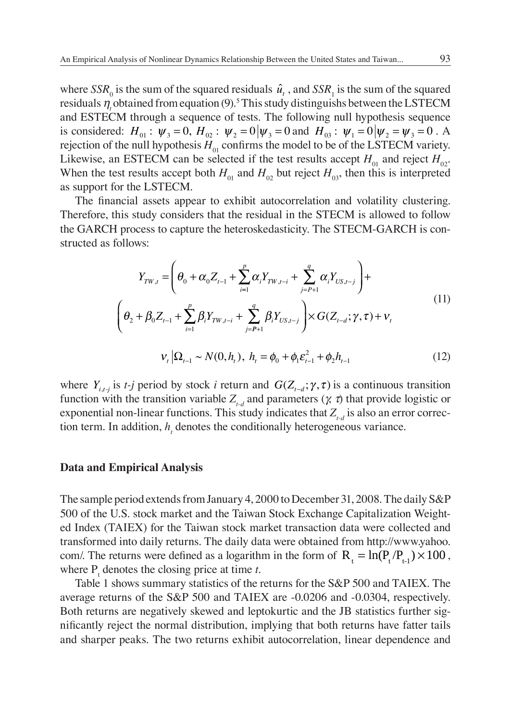where  $SSR_0$  is the sum of the squared residuals  $\hat{u}_t$ , and  $SSR_1$  is the sum of the squared residuals  $\eta_t$  obtained from equation (9).<sup>5</sup> This study distinguishs between the LSTECM and ESTECM through a sequence of tests. The following null hypothesis sequence is considered:  $H_{01}$ :  $\psi_3 = 0$ ,  $H_{02}$ :  $\psi_2 = 0 | \psi_3 = 0$  and  $H_{03}$ :  $\psi_1 = 0 | \psi_2 = \psi_3 = 0$ . A rejection of the null hypothesis  $H_{01}$  confirms the model to be of the LSTECM variety. Likewise, an ESTECM can be selected if the test results accept  $H_{01}$  and reject  $H_{02}$ . When the test results accept both  $H_{01}$  and  $H_{02}$  but reject  $H_{03}$ , then this is interpreted as support for the LSTECM.

The financial assets appear to exhibit autocorrelation and volatility clustering. Therefore, this study considers that the residual in the STECM is allowed to follow the GARCH process to capture the heteroskedasticity. The STECM-GARCH is constructed as follows:

$$
Y_{TW,t} = \left(\theta_0 + \alpha_0 Z_{t-1} + \sum_{i=1}^p \alpha_i Y_{TW,t-i} + \sum_{j=P+1}^q \alpha_i Y_{US,t-j}\right) +
$$
  
\n
$$
\left(\theta_2 + \beta_0 Z_{t-1} + \sum_{i=1}^p \beta_i Y_{TW,t-i} + \sum_{j=P+1}^q \beta_i Y_{US,t-j}\right) \times G(Z_{t-d}; \gamma, \tau) + \nu_t
$$
  
\n
$$
V_t | \Omega_{t-1} \sim N(0, h_t), \ h_t = \phi_0 + \phi_1 \varepsilon_{t-1}^2 + \phi_2 h_{t-1}
$$
\n(12)

where  $Y_{i,j}$  is *t-j* period by stock *i* return and  $G(Z_{t-d}; \gamma, \tau)$  is a continuous transition function with the transition variable  $Z_{t,d}$  and parameters ( $\chi$   $\tau$ ) that provide logistic or exponential non-linear functions. This study indicates that  $Z_{t_d}$  is also an error correction term. In addition,  $h_t$  denotes the conditionally heterogeneous variance.

#### **Data and Empirical Analysis**

The sample period extends from January 4, 2000 to December 31, 2008. The daily S&P 500 of the U.S. stock market and the Taiwan Stock Exchange Capitalization Weighted Index (TAIEX) for the Taiwan stock market transaction data were collected and transformed into daily returns. The daily data were obtained from http://www.yahoo. com/. The returns were defined as a logarithm in the form of  $R_1 = \ln(P_1 / P_{1,1}) \times 100$ , where  $P_t$  denotes the closing price at time *t*.

Table 1 shows summary statistics of the returns for the S&P 500 and TAIEX. The average returns of the S&P 500 and TAIEX are -0.0206 and -0.0304, respectively. Both returns are negatively skewed and leptokurtic and the JB statistics further significantly reject the normal distribution, implying that both returns have fatter tails and sharper peaks. The two returns exhibit autocorrelation, linear dependence and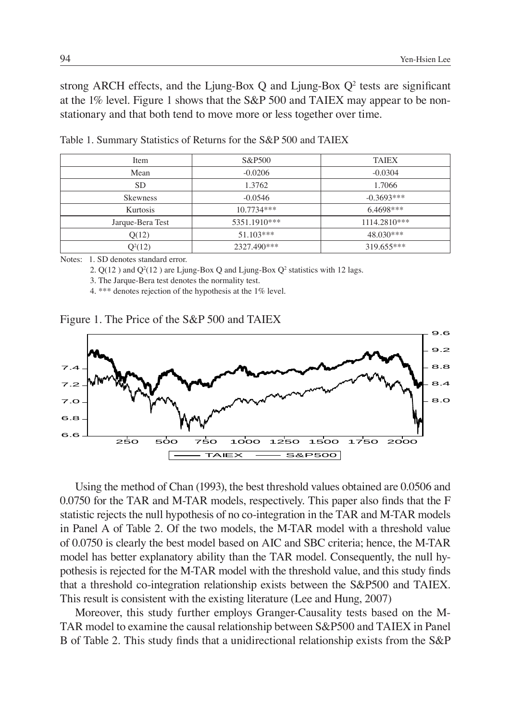strong ARCH effects, and the Ljung-Box  $Q$  and Ljung-Box  $Q^2$  tests are significant at the 1% level. Figure 1 shows that the S&P 500 and TAIEX may appear to be nonstationary and that both tend to move more or less together over time.

| Item             | S&P500       | <b>TAIEX</b> |
|------------------|--------------|--------------|
| Mean             | $-0.0206$    | $-0.0304$    |
| <b>SD</b>        | 1.3762       | 1.7066       |
| <b>Skewness</b>  | $-0.0546$    | $-0.3693***$ |
| Kurtosis         | $10.7734***$ | $6.4698***$  |
| Jarque-Bera Test | 5351.1910*** | 1114.2810*** |
| Q(12)            | $51.103***$  | $48.030***$  |
| $Q^2(12)$        | 2327.490***  | 319.655***   |

Table 1. Summary Statistics of Returns for the S&P 500 and TAIEX

Notes: 1. SD denotes standard error.

2.  $Q(12)$  and  $Q^2(12)$  are Ljung-Box Q and Ljung-Box  $Q^2$  statistics with 12 lags.

3. The Jarque-Bera test denotes the normality test.

4. \*\*\* denotes rejection of the hypothesis at the 1% level.

Figure 1. The Price of the S&P 500 and TAIEX



Using the method of Chan (1993), the best threshold values obtained are 0.0506 and  $0.0750$  for the TAR and M-TAR models, respectively. This paper also finds that the F statistic rejects the null hypothesis of no co-integration in the TAR and M-TAR models in Panel A of Table 2. Of the two models, the M-TAR model with a threshold value of 0.0750 is clearly the best model based on AIC and SBC criteria; hence, the M-TAR model has better explanatory ability than the TAR model. Consequently, the null hypothesis is rejected for the M-TAR model with the threshold value, and this study finds that a threshold co-integration relationship exists between the S&P500 and TAIEX. This result is consistent with the existing literature (Lee and Hung, 2007)

Moreover, this study further employs Granger-Causality tests based on the M-TAR model to examine the causal relationship between S&P500 and TAIEX in Panel B of Table 2. This study finds that a unidirectional relationship exists from the S&P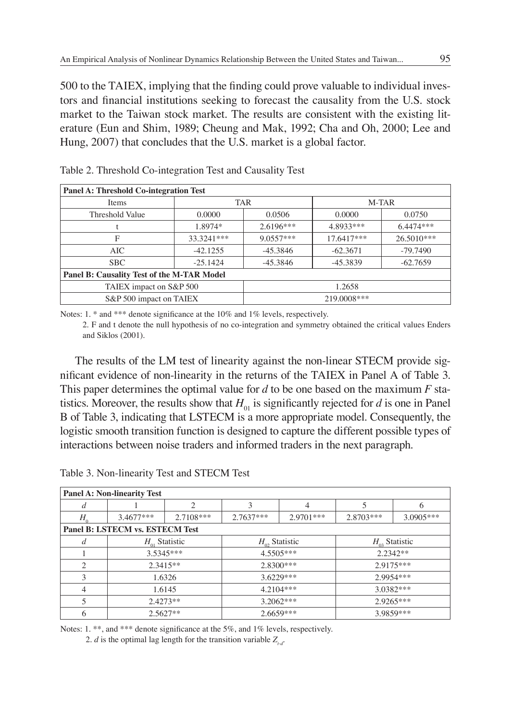500 to the TAIEX, implying that the finding could prove valuable to individual investors and financial institutions seeking to forecast the causality from the U.S. stock market to the Taiwan stock market. The results are consistent with the existing literature (Eun and Shim, 1989; Cheung and Mak, 1992; Cha and Oh, 2000; Lee and Hung, 2007) that concludes that the U.S. market is a global factor.

| Panel A: Threshold Co-integration Test     |                  |             |            |            |  |
|--------------------------------------------|------------------|-------------|------------|------------|--|
| Items                                      | <b>TAR</b>       |             | M-TAR      |            |  |
| Threshold Value                            | 0.0000<br>0.0506 |             | 0.0000     | 0.0750     |  |
|                                            | 1.8974*          | $2.6196***$ | 4.8933***  | 6.4474***  |  |
| F                                          | 33.3241***       | $9.0557***$ | 17.6417*** | 26.5010*** |  |
| AIC                                        | $-42.1255$       | $-45.3846$  | $-62.3671$ | $-79.7490$ |  |
| SBC                                        | $-25.1424$       | $-45.3846$  | $-45.3839$ | $-62.7659$ |  |
| Panel B: Causality Test of the M-TAR Model |                  |             |            |            |  |
| TAIEX impact on S&P 500                    |                  | 1.2658      |            |            |  |
| S&P 500 impact on TAIEX                    |                  | 219,0008*** |            |            |  |

Table 2. Threshold Co-integration Test and Causality Test

Notes: 1.  $*$  and  $***$  denote significance at the 10% and 1% levels, respectively.

2. F and t denote the null hypothesis of no co-integration and symmetry obtained the critical values Enders and Siklos (2001).

The results of the LM test of linearity against the non-linear STECM provide significant evidence of non-linearity in the returns of the TAIEX in Panel A of Table 3. This paper determines the optimal value for *d* to be one based on the maximum *F* statistics. Moreover, the results show that  $H_{01}$  is significantly rejected for *d* is one in Panel B of Table 3, indicating that LSTECM is a more appropriate model. Consequently, the logistic smooth transition function is designed to capture the different possible types of interactions between noise traders and informed traders in the next paragraph.

| <b>Panel A: Non-linearity Test</b> |                    |           |                          |             |                        |           |
|------------------------------------|--------------------|-----------|--------------------------|-------------|------------------------|-----------|
| đ                                  |                    | ◠         | 3                        | 4           |                        | 6         |
| $H_{\alpha}$                       | $3.4677***$        | 2.7108*** | $2.7637***$              | $2.9701***$ | $2.8703***$            | 3.0905*** |
| Panel B: LSTECM vs. ESTECM Test    |                    |           |                          |             |                        |           |
| d                                  | $H_{01}$ Statistic |           | $H_{\alpha}$ , Statistic |             | $H_{\alpha}$ Statistic |           |
|                                    | $3.5345***$        |           | 4.5505***                |             | $2.2342**$             |           |
| $\mathfrak{D}$                     | $2.3415**$         |           | $2.8300***$              |             | 2.9175***              |           |
| 3                                  | 1.6326             |           | $3.6229***$              |             | 2.9954***              |           |
| 4                                  | 1.6145             |           | $4.2104***$              |             | 3.0382***              |           |
| 5                                  | $2.4273**$         |           | $3.2062***$              |             | $2.9265***$            |           |
| 6                                  | $2.5627**$         |           |                          | $2.6659***$ |                        | 3.9859*** |

Table 3. Non-linearity Test and STECM Test

Notes: 1. \*\*, and \*\*\* denote significance at the 5%, and 1% levels, respectively.

2. *d* is the optimal lag length for the transition variable  $Z_{i,d}$ .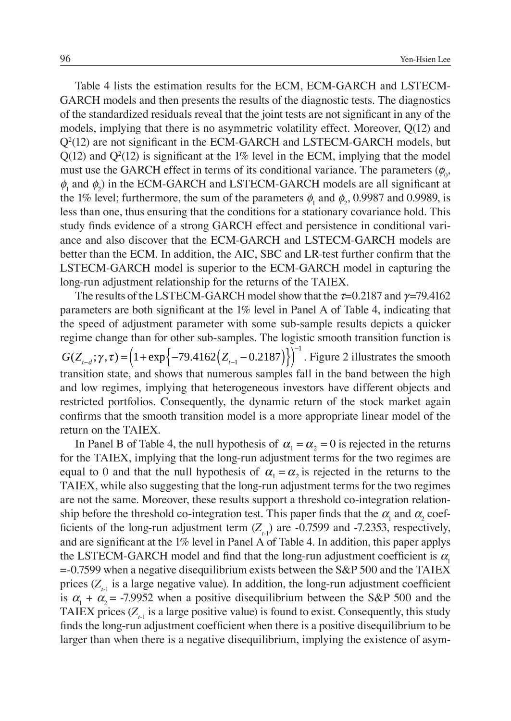Table 4 lists the estimation results for the ECM, ECM-GARCH and LSTECM-GARCH models and then presents the results of the diagnostic tests. The diagnostics of the standardized residuals reveal that the joint tests are not significant in any of the models, implying that there is no asymmetric volatility effect. Moreover, Q(12) and  $Q<sup>2</sup>(12)$  are not significant in the ECM-GARCH and LSTECM-GARCH models, but  $Q(12)$  and  $Q<sup>2</sup>(12)$  is significant at the 1% level in the ECM, implying that the model must use the GARCH effect in terms of its conditional variance. The parameters  $(\phi_{0}$ ,  $\phi_1$  and  $\phi_2$ ) in the ECM-GARCH and LSTECM-GARCH models are all significant at the 1% level; furthermore, the sum of the parameters  $\phi_1$  and  $\phi_2$ , 0.9987 and 0.9989, is less than one, thus ensuring that the conditions for a stationary covariance hold. This study finds evidence of a strong GARCH effect and persistence in conditional variance and also discover that the ECM-GARCH and LSTECM-GARCH models are better than the ECM. In addition, the AIC, SBC and LR-test further confirm that the LSTECM-GARCH model is superior to the ECM-GARCH model in capturing the long-run adjustment relationship for the returns of the TAIEX.

The results of the LSTECM-GARCH model show that the  $\tau$ =0.2187 and  $\gamma$ =79.4162 parameters are both significant at the 1% level in Panel A of Table 4, indicating that the speed of adjustment parameter with some sub-sample results depicts a quicker regime change than for other sub-samples. The logistic smooth transition function is  $G(Z_{t-d}; \gamma, \tau) = (1 + \exp\{-79.4162(Z_{t-1} - 0.2187)\})^{-1}$ . Figure 2 illustrates the smooth transition state, and shows that numerous samples fall in the band between the high and low regimes, implying that heterogeneous investors have different objects and restricted portfolios. Consequently, the dynamic return of the stock market again confirms that the smooth transition model is a more appropriate linear model of the return on the TAIEX.

In Panel B of Table 4, the null hypothesis of  $\alpha_1 = \alpha_2 = 0$  is rejected in the returns for the TAIEX, implying that the long-run adjustment terms for the two regimes are equal to 0 and that the null hypothesis of  $\alpha_1 = \alpha_2$  is rejected in the returns to the TAIEX, while also suggesting that the long-run adjustment terms for the two regimes are not the same. Moreover, these results support a threshold co-integration relationship before the threshold co-integration test. This paper finds that the  $\alpha_{\text{\tiny{l}}}$  and  $\alpha_{\text{\tiny{2}}}$  coefficients of the long-run adjustment term  $(Z_{t-1})$  are -0.7599 and -7.2353, respectively, and are significant at the  $1\%$  level in Panel A of Table 4. In addition, this paper applys the LSTECM-GARCH model and find that the long-run adjustment coefficient is  $\alpha_1$  $=$  -0.7599 when a negative disequilibrium exists between the S&P 500 and the TAIEX prices (Z<sub>t-1</sub> is a large negative value). In addition, the long-run adjustment coefficient is  $\alpha_1 + \alpha_2 = -7.9952$  when a positive disequilibrium between the S&P 500 and the TAIEX prices  $(Z_{t-1})$  is a large positive value) is found to exist. Consequently, this study finds the long-run adjustment coefficient when there is a positive disequilibrium to be larger than when there is a negative disequilibrium, implying the existence of asym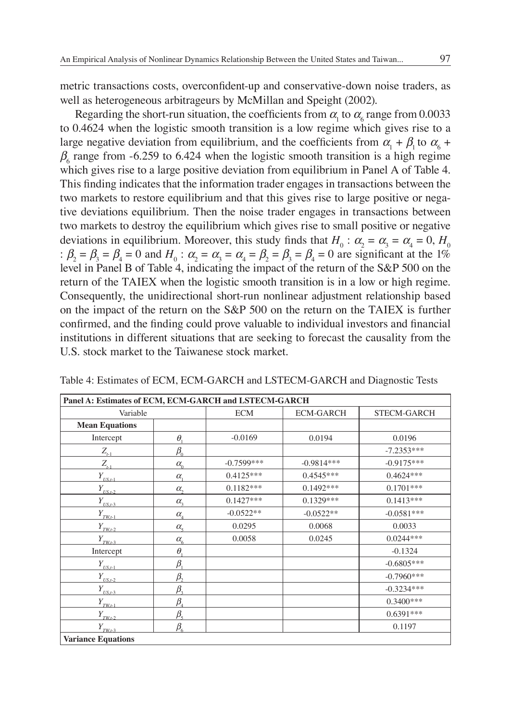metric transactions costs, overconfident-up and conservative-down noise traders, as well as heterogeneous arbitrageurs by McMillan and Speight (2002).

Regarding the short-run situation, the coefficients from  $\alpha_{\rm l}$  to  $\alpha_{\rm s}$  range from 0.0033 to 0.4624 when the logistic smooth transition is a low regime which gives rise to a large negative deviation from equilibrium, and the coefficients from  $\alpha_1 + \beta_1$  to  $\alpha_6 +$  $\beta_6$  range from -6.259 to 6.424 when the logistic smooth transition is a high regime which gives rise to a large positive deviation from equilibrium in Panel A of Table 4. This finding indicates that the information trader engages in transactions between the two markets to restore equilibrium and that this gives rise to large positive or negative deviations equilibrium. Then the noise trader engages in transactions between two markets to destroy the equilibrium which gives rise to small positive or negative deviations in equilibrium. Moreover, this study finds that  $H_0$ :  $\alpha_2 = \alpha_3 = \alpha_4 = 0$ ,  $H_0$ :  $\beta_2 = \beta_3 = \beta_4 = 0$  and  $H_0$ :  $\alpha_2 = \alpha_3 = \alpha_4 = \beta_2 = \beta_3 = \beta_4 = 0$  are significant at the 1% level in Panel B of Table 4, indicating the impact of the return of the S&P 500 on the return of the TAIEX when the logistic smooth transition is in a low or high regime. Consequently, the unidirectional short-run nonlinear adjustment relationship based on the impact of the return on the S&P 500 on the return on the TAIEX is further confirmed, and the finding could prove valuable to individual investors and financial institutions in different situations that are seeking to forecast the causality from the U.S. stock market to the Taiwanese stock market.

| Panel A: Estimates of ECM, ECM-GARCH and LSTECM-GARCH |                                     |              |                  |                    |  |
|-------------------------------------------------------|-------------------------------------|--------------|------------------|--------------------|--|
| Variable                                              |                                     | <b>ECM</b>   | <b>ECM-GARCH</b> | <b>STECM-GARCH</b> |  |
| <b>Mean Equations</b>                                 |                                     |              |                  |                    |  |
| Intercept                                             | $\theta$                            | $-0.0169$    | 0.0194           | 0.0196             |  |
| $Z_{t-1}$                                             | $\beta_{0}$                         |              |                  | $-7.2353***$       |  |
| $Z_{t-1}$                                             | $\alpha_{0}$                        | $-0.7599***$ | $-0.9814***$     | $-0.9175***$       |  |
| $Y_{_{\textit{\text{LSSL-1}}}}}$                      | $\alpha_{i}$                        | $0.4125***$  | $0.4545***$      | $0.4624***$        |  |
| $Y_{_{\it USL2}}$                                     | $\alpha$ ,                          | $0.1182***$  | $0.1492***$      | $0.1701***$        |  |
| $Y_{\text{US},t-3}$                                   | $\alpha_{\rm a}$                    | $0.1427***$  | $0.1329***$      | $0.1413***$        |  |
| $Y_{\text{\tiny{TWL-1}}}$                             | $\alpha_{\scriptscriptstyle\!\! A}$ | $-0.0522**$  | $-0.0522**$      | $-0.0581***$       |  |
| $Y_{\text{TW},t-2}$                                   | $\alpha_{\varsigma}$                | 0.0295       | 0.0068           | 0.0033             |  |
| $Y_{\text{\tiny{TWL-3}}}$                             | $\alpha_{\rm s}$                    | 0.0058       | 0.0245           | $0.0244***$        |  |
| Intercept                                             | $\theta$                            |              |                  | $-0.1324$          |  |
| $Y_{\text{US},t-1}$                                   | $\beta$                             |              |                  | $-0.6805***$       |  |
| $Y_{US,t-2}$                                          | $\beta$                             |              |                  | $-0.7960***$       |  |
| $Y_{_{\it USL3}}$                                     | $\beta_{3}$                         |              |                  | $-0.3234***$       |  |
| $Y_{\underline{TW}_{L^1}}$                            | $\beta_{\scriptscriptstyle 4}$      |              |                  | $0.3400***$        |  |
| $Y_{TW, t-2}$                                         | $\beta_{\varsigma}$                 |              |                  | $0.6391***$        |  |
| $Y_{\text{TW}t-3}$                                    | $\beta_{\rm s}$                     |              |                  | 0.1197             |  |
| <b>Variance Equations</b>                             |                                     |              |                  |                    |  |

Table 4: Estimates of ECM, ECM-GARCH and LSTECM-GARCH and Diagnostic Tests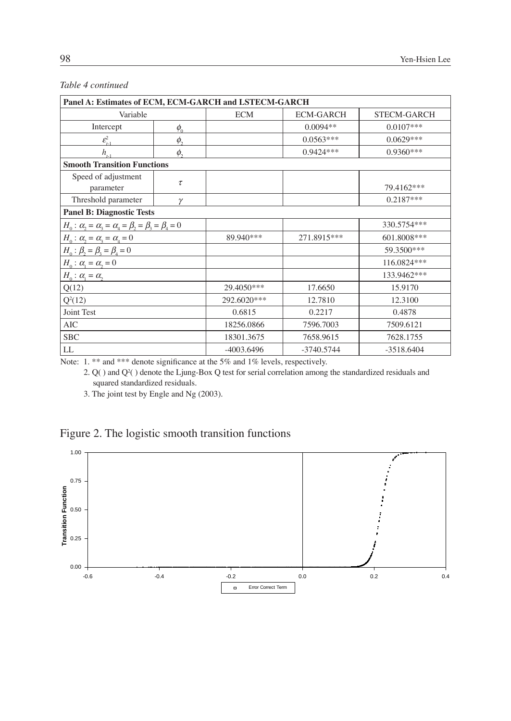#### *Table 4 continued*

| Panel A: Estimates of ECM, ECM-GARCH and LSTECM-GARCH                   |            |              |                  |                    |  |
|-------------------------------------------------------------------------|------------|--------------|------------------|--------------------|--|
| Variable                                                                |            | <b>ECM</b>   | <b>ECM-GARCH</b> | <b>STECM-GARCH</b> |  |
| Intercept                                                               | $\phi_{0}$ |              | $0.0094**$       | $0.0107***$        |  |
| $\mathcal{E}_{t-1}^2$                                                   | $\phi$ ,   |              | $0.0563***$      | $0.0629***$        |  |
| $h_{,1}$                                                                | $\phi$ ,   |              | $0.9424***$      | $0.9360***$        |  |
| <b>Smooth Transition Functions</b>                                      |            |              |                  |                    |  |
| Speed of adjustment<br>parameter                                        | $\tau$     |              |                  | 79.4162***         |  |
| Threshold parameter                                                     | γ          |              |                  | $0.2187***$        |  |
| <b>Panel B: Diagnostic Tests</b>                                        |            |              |                  |                    |  |
| $H_0: \alpha_2 = \alpha_3 = \alpha_4 = \beta_2 = \beta_3 = \beta_4 = 0$ |            |              |                  | 330.5754***        |  |
| $H_0: \alpha_2 = \alpha_3 = \alpha_4 = 0$                               |            | 89.940***    | 271.8915***      | 601.8008***        |  |
| $H_0: \beta_2 = \beta_3 = \beta_4 = 0$                                  |            |              |                  | 59.3500***         |  |
| $H_0: \alpha_1 = \alpha_2 = 0$                                          |            |              |                  | 116.0824***        |  |
| $H_0: \alpha_1 = \alpha_2$                                              |            |              |                  | 133.9462***        |  |
| Q(12)                                                                   |            | 29.4050***   | 17.6650          | 15.9170            |  |
| $Q^2(12)$                                                               |            | 292.6020***  | 12.7810          | 12.3100            |  |
| Joint Test                                                              |            | 0.6815       | 0.2217           | 0.4878             |  |
| AIC                                                                     |            | 18256.0866   | 7596.7003        | 7509.6121          |  |
| <b>SBC</b>                                                              |            | 18301.3675   | 7658.9615        | 7628.1755          |  |
| LL                                                                      |            | $-4003.6496$ | $-3740.5744$     | $-3518.6404$       |  |

Note: 1. \*\* and \*\*\* denote significance at the 5% and 1% levels, respectively.

2.  $Q($ ) and  $Q<sup>2</sup>($  ) denote the Ljung-Box Q test for serial correlation among the standardized residuals and squared standardized residuals.

3. The joint test by Engle and Ng (2003).

## Figure 2. The logistic smooth transition functions

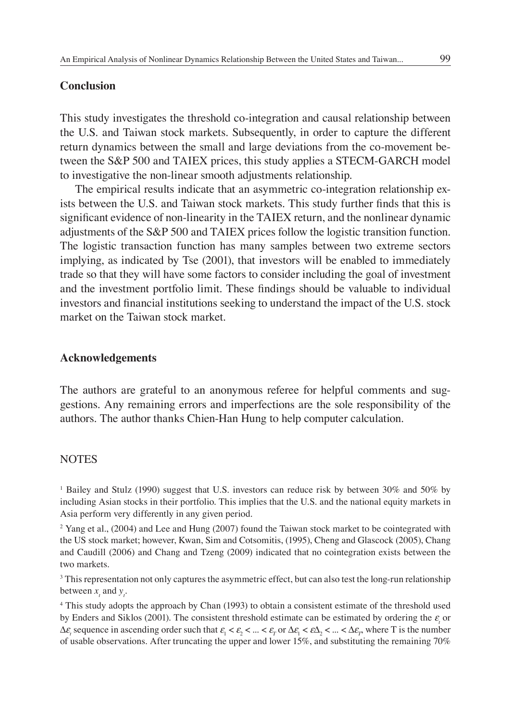### **Conclusion**

This study investigates the threshold co-integration and causal relationship between the U.S. and Taiwan stock markets. Subsequently, in order to capture the different return dynamics between the small and large deviations from the co-movement between the S&P 500 and TAIEX prices, this study applies a STECM-GARCH model to investigative the non-linear smooth adjustments relationship.

The empirical results indicate that an asymmetric co-integration relationship exists between the U.S. and Taiwan stock markets. This study further finds that this is significant evidence of non-linearity in the TAIEX return, and the nonlinear dynamic adjustments of the S&P 500 and TAIEX prices follow the logistic transition function. The logistic transaction function has many samples between two extreme sectors implying, as indicated by Tse (2001), that investors will be enabled to immediately trade so that they will have some factors to consider including the goal of investment and the investment portfolio limit. These findings should be valuable to individual investors and financial institutions seeking to understand the impact of the U.S. stock market on the Taiwan stock market.

#### **Acknowledgements**

The authors are grateful to an anonymous referee for helpful comments and suggestions. Any remaining errors and imperfections are the sole responsibility of the authors. The author thanks Chien-Han Hung to help computer calculation.

#### **NOTES**

1 Bailey and Stulz (1990) suggest that U.S. investors can reduce risk by between 30% and 50% by including Asian stocks in their portfolio. This implies that the U.S. and the national equity markets in Asia perform very differently in any given period.

<sup>2</sup> Yang et al., (2004) and Lee and Hung (2007) found the Taiwan stock market to be cointegrated with the US stock market; however, Kwan, Sim and Cotsomitis, (1995), Cheng and Glascock (2005), Chang and Caudill (2006) and Chang and Tzeng (2009) indicated that no cointegration exists between the two markets.

<sup>3</sup> This representation not only captures the asymmetric effect, but can also test the long-run relationship between  $x_i$  and  $y_i$ .

4 This study adopts the approach by Chan (1993) to obtain a consistent estimate of the threshold used by Enders and Siklos (2001). The consistent threshold estimate can be estimated by ordering the  $\varepsilon$ <sub>*t*</sub> or  $\Delta \varepsilon$ <sub>*t*</sub> sequence in ascending order such that  $\varepsilon_1 < \varepsilon_2 < ... < \varepsilon_r$  or  $\Delta \varepsilon_1 < \varepsilon \Delta_2 < ... < \Delta \varepsilon_r$ , where T is the number of usable observations. After truncating the upper and lower 15%, and substituting the remaining 70%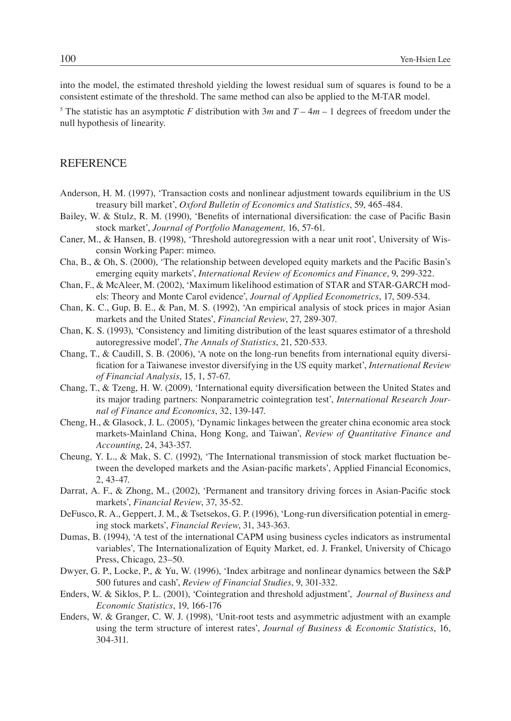into the model, the estimated threshold yielding the lowest residual sum of squares is found to be a consistent estimate of the threshold. The same method can also be applied to the M-TAR model.

<sup>5</sup> The statistic has an asymptotic *F* distribution with  $3m$  and  $T - 4m - 1$  degrees of freedom under the null hypothesis of linearity.

#### **REFERENCE**

- Anderson, H. M. (1997), 'Transaction costs and nonlinear adjustment towards equilibrium in the US treasury bill market', *Oxford Bulletin of Economics and Statistics*, 59, 465-484.
- Bailey, W. & Stulz, R. M. (1990), 'Benefits of international diversification: the case of Pacific Basin stock market', *Journal of Portfolio Management,* 16, 57-61.
- Caner, M., & Hansen, B. (1998), 'Threshold autoregression with a near unit root', University of Wisconsin Working Paper: mimeo.
- Cha, B., & Oh, S. (2000), 'The relationship between developed equity markets and the Pacific Basin's emerging equity markets', *International Review of Economics and Finance*, 9, 299-322.
- Chan, F., & McAleer, M. (2002), 'Maximum likelihood estimation of STAR and STAR-GARCH models: Theory and Monte Carol evidence', *Journal of Applied Econometrics*, 17, 509-534.
- Chan, K. C., Gup, B. E., & Pan, M. S. (1992), 'An empirical analysis of stock prices in major Asian markets and the United States', *Financial Review*, 27, 289-307.
- Chan, K. S. (1993), 'Consistency and limiting distribution of the least squares estimator of a threshold autoregressive model', *The Annals of Statistics*, 21, 520-533.
- Chang, T., & Caudill, S. B. (2006), 'A note on the long-run benefits from international equity diversifi cation for a Taiwanese investor diversifying in the US equity market', *International Review of Financial Analysis*, 15, 1, 57-67.
- Chang, T., & Tzeng, H. W. (2009), 'International equity diversification between the United States and its major trading partners: Nonparametric cointegration test', *International Research Journal of Finance and Economics*, 32, 139-147.
- Cheng, H., & Glasock, J. L. (2005), 'Dynamic linkages between the greater china economic area stock markets-Mainland China, Hong Kong, and Taiwan', *Review of Quantitative Finance and Accounting*, 24, 343-357.
- Cheung, Y. L., & Mak, S. C. (1992), 'The International transmission of stock market fluctuation between the developed markets and the Asian-pacific markets', Applied Financial Economics, 2, 43-47.
- Darrat, A. F., & Zhong, M., (2002), 'Permanent and transitory driving forces in Asian-Pacific stock markets', *Financial Review*, 37, 35-52.
- DeFusco, R. A., Geppert, J. M., & Tsetsekos, G. P. (1996), 'Long-run diversification potential in emerging stock markets', *Financial Review*, 31, 343-363.
- Dumas, B. (1994), 'A test of the international CAPM using business cycles indicators as instrumental variables', The Internationalization of Equity Market, ed. J. Frankel, University of Chicago Press, Chicago, 23–50.
- Dwyer, G. P., Locke, P., & Yu, W. (1996), 'Index arbitrage and nonlinear dynamics between the S&P 500 futures and cash', *Review of Financial Studies*, 9, 301-332.
- Enders, W. & Siklos, P. L. (2001), 'Cointegration and threshold adjustment', *Journal of Business and Economic Statistics*, 19, 166-176
- Enders, W. & Granger, C. W. J. (1998), 'Unit-root tests and asymmetric adjustment with an example using the term structure of interest rates', *Journal of Business & Economic Statistics*, 16, 304-311.